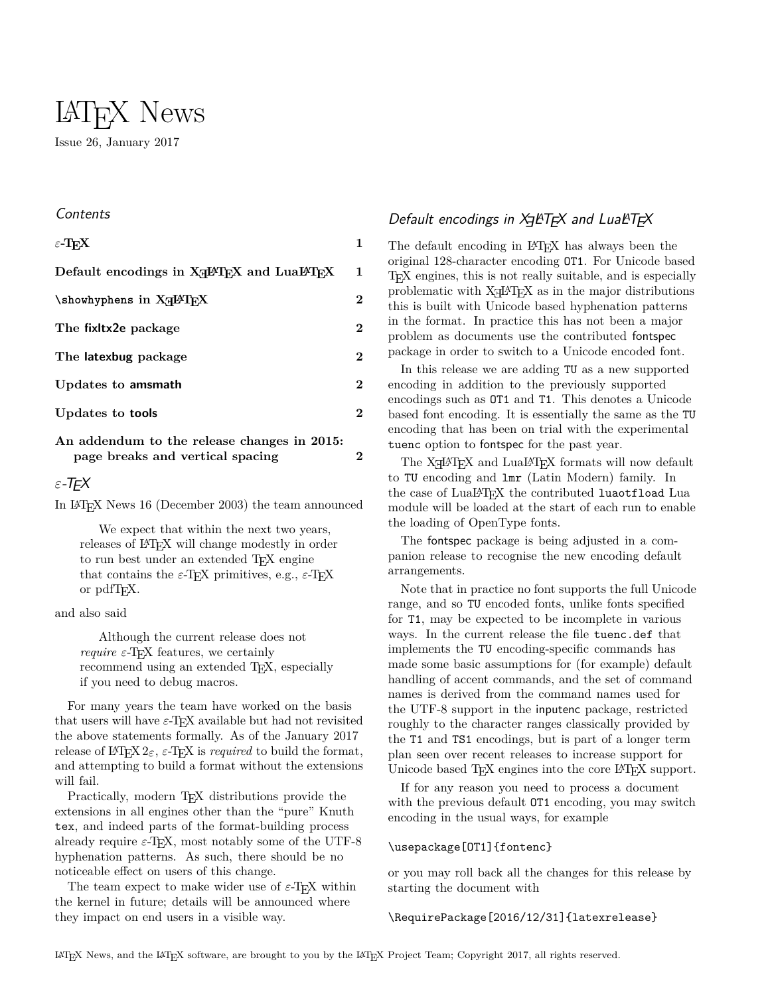# LATEX News Issue 26, January 2017

#### Contents

| $\varepsilon$ -T <sub>F</sub> X                                                  | 1 |
|----------------------------------------------------------------------------------|---|
| Default encodings in X <sub>T</sub> IAT <sub>R</sub> X and LuaIAT <sub>R</sub> X | 1 |
| \showhyphens in X <sub>H</sub> PT <sub>F</sub> X                                 | 2 |
| The fixitx2e package                                                             | 2 |
| The latexbug package                                                             | 2 |
| Updates to amsmath                                                               | 2 |
| Updates to <b>tools</b>                                                          | 2 |
|                                                                                  |   |

### **[An addendum to the release changes in 2015:](#page-1-5) [page breaks and vertical spacing](#page-1-5) 2**

### <span id="page-0-0"></span>*ε*-TEX

In LATEX News 16 (December 2003) the team announced

We expect that within the next two years, releases of LAT<sub>EX</sub> will change modestly in order to run best under an extended TFX engine that contains the  $\varepsilon$ -T<sub>E</sub>X primitives, e.g.,  $\varepsilon$ -T<sub>E</sub>X or pdfT<sub>E</sub>X.

and also said

Although the current release does not *require*  $\varepsilon$ -T<sub>E</sub>X features, we certainly recommend using an extended T<sub>E</sub>X, especially if you need to debug macros.

For many years the team have worked on the basis that users will have  $\varepsilon$ -T<sub>EX</sub> available but had not revisited the above statements formally. As of the January 2017 release of LAT<sub>E</sub>X  $2\varepsilon$ ,  $\varepsilon$ -T<sub>E</sub>X is *required* to build the format, and attempting to build a format without the extensions will fail.

Practically, modern T<sub>EX</sub> distributions provide the extensions in all engines other than the "pure" Knuth tex, and indeed parts of the format-building process already require  $\varepsilon$ -T<sub>E</sub>X, most notably some of the UTF-8 hyphenation patterns. As such, there should be no noticeable effect on users of this change.

The team expect to make wider use of  $\varepsilon$ -T<sub>E</sub>X within the kernel in future; details will be announced where they impact on end users in a visible way.

# <span id="page-0-1"></span>Default encodings in X9LT<sub>E</sub>X and LuaLT<sub>E</sub>X

The default encoding in LAT<sub>EX</sub> has always been the original 128-character encoding OT1. For Unicode based TEX engines, this is not really suitable, and is especially problematic with  $X \rightarrow Y$  as in the major distributions this is built with Unicode based hyphenation patterns in the format. In practice this has not been a major problem as documents use the contributed fontspec package in order to switch to a Unicode encoded font.

In this release we are adding TU as a new supported encoding in addition to the previously supported encodings such as OT1 and T1. This denotes a Unicode based font encoding. It is essentially the same as the TU encoding that has been on trial with the experimental tuenc option to fontspec for the past year.

The  $\text{XgIATEX}$  and  $\text{LuaIATEX}$  formats will now default to TU encoding and lmr (Latin Modern) family. In the case of LuaLAT<sub>EX</sub> the contributed luaotfload Lua module will be loaded at the start of each run to enable the loading of OpenType fonts.

The fontspec package is being adjusted in a companion release to recognise the new encoding default arrangements.

Note that in practice no font supports the full Unicode range, and so TU encoded fonts, unlike fonts specified for T1, may be expected to be incomplete in various ways. In the current release the file tuenc.def that implements the TU encoding-specific commands has made some basic assumptions for (for example) default handling of accent commands, and the set of command names is derived from the command names used for the UTF-8 support in the inputenc package, restricted roughly to the character ranges classically provided by the T1 and TS1 encodings, but is part of a longer term plan seen over recent releases to increase support for Unicode based T<sub>E</sub>X engines into the core L<sup>AT</sup>E<sub>X</sub> support.

If for any reason you need to process a document with the previous default **OT1** encoding, you may switch encoding in the usual ways, for example

#### \usepackage[OT1]{fontenc}

or you may roll back all the changes for this release by starting the document with

### \RequirePackage[2016/12/31]{latexrelease}